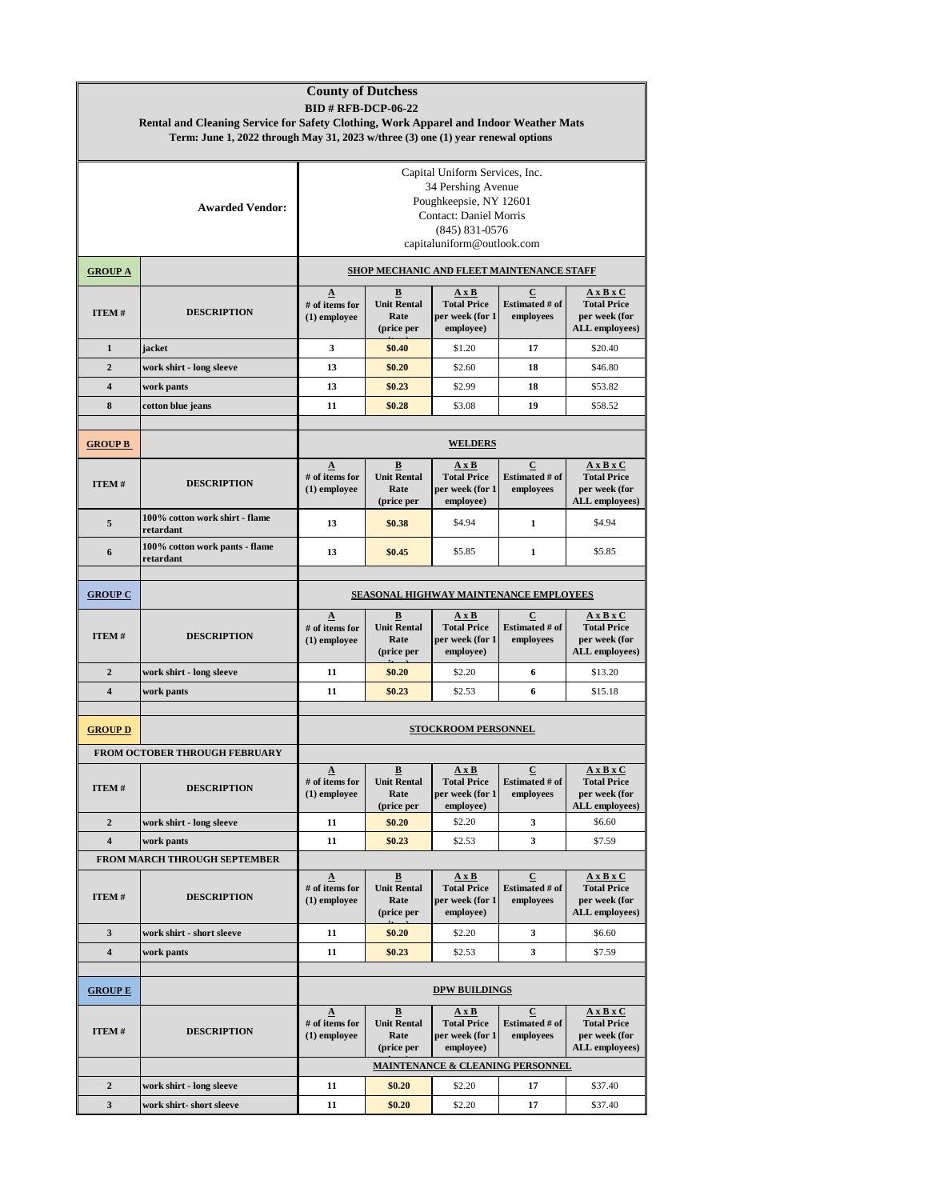| <b>County of Dutchess</b><br><b>BID # RFB-DCP-06-22</b><br>Rental and Cleaning Service for Safety Clothing, Work Apparel and Indoor Weather Mats |                                             |                                                                                                                                                                     |                                                                      |                                                                                          |                                                      |                                                                                       |  |  |  |  |
|--------------------------------------------------------------------------------------------------------------------------------------------------|---------------------------------------------|---------------------------------------------------------------------------------------------------------------------------------------------------------------------|----------------------------------------------------------------------|------------------------------------------------------------------------------------------|------------------------------------------------------|---------------------------------------------------------------------------------------|--|--|--|--|
| Term: June 1, 2022 through May 31, 2023 w/three (3) one (1) year renewal options                                                                 |                                             |                                                                                                                                                                     |                                                                      |                                                                                          |                                                      |                                                                                       |  |  |  |  |
|                                                                                                                                                  | <b>Awarded Vendor:</b>                      | Capital Uniform Services, Inc.<br>34 Pershing Avenue<br>Poughkeepsie, NY 12601<br><b>Contact: Daniel Morris</b><br>$(845) 831 - 0576$<br>capitaluniform@outlook.com |                                                                      |                                                                                          |                                                      |                                                                                       |  |  |  |  |
| <b>GROUP A</b>                                                                                                                                   |                                             | SHOP MECHANIC AND FLEET MAINTENANCE STAFF                                                                                                                           |                                                                      |                                                                                          |                                                      |                                                                                       |  |  |  |  |
| ITEM#                                                                                                                                            | <b>DESCRIPTION</b>                          | $\Delta$<br># of items for<br>$(1)$ employee                                                                                                                        | $\overline{\mathbf{B}}$<br><b>Unit Rental</b><br>Rate<br>(price per  | AxB<br><b>Total Price</b><br>per week (for 1<br>employee)                                | $\overline{c}$<br><b>Estimated # of</b><br>employees | $A \times B \times C$<br><b>Total Price</b><br>per week (for<br><b>ALL</b> employees) |  |  |  |  |
| $\mathbf{1}$                                                                                                                                     | jacket                                      | 3                                                                                                                                                                   | \$0.40                                                               | \$1.20                                                                                   | 17                                                   | \$20.40                                                                               |  |  |  |  |
| $\overline{2}$                                                                                                                                   | work shirt - long sleeve                    | 13                                                                                                                                                                  | \$0.20                                                               | \$2.60                                                                                   | 18                                                   | \$46.80                                                                               |  |  |  |  |
| $\overline{\mathbf{4}}$                                                                                                                          | work pants                                  | 13                                                                                                                                                                  | \$0.23                                                               | \$2.99                                                                                   | 18                                                   | \$53.82                                                                               |  |  |  |  |
| 8                                                                                                                                                | cotton blue jeans                           | 11                                                                                                                                                                  | \$0.28                                                               | \$3.08                                                                                   | 19                                                   | \$58.52                                                                               |  |  |  |  |
| <b>GROUP B</b>                                                                                                                                   |                                             | <b>WELDERS</b>                                                                                                                                                      |                                                                      |                                                                                          |                                                      |                                                                                       |  |  |  |  |
| ITEM#                                                                                                                                            | <b>DESCRIPTION</b>                          | $\Delta$<br># of items for<br>$(1)$ employee                                                                                                                        | $\mathbf{B}$<br><b>Unit Rental</b><br>Rate<br>(price per             | AxB<br><b>Total Price</b><br>per week (for 1<br>employee)                                | $\bf C$<br>Estimated # of<br>employees               | $A \times B \times C$<br><b>Total Price</b><br>per week (for<br>ALL employees)        |  |  |  |  |
| 5                                                                                                                                                | 100% cotton work shirt - flame<br>retardant | 13                                                                                                                                                                  | \$0.38                                                               | \$4.94                                                                                   | 1                                                    | \$4.94                                                                                |  |  |  |  |
| 6                                                                                                                                                | 100% cotton work pants - flame<br>retardant | 13                                                                                                                                                                  | \$0.45                                                               | \$5.85                                                                                   | $\mathbf{1}$                                         | \$5.85                                                                                |  |  |  |  |
|                                                                                                                                                  |                                             |                                                                                                                                                                     |                                                                      |                                                                                          |                                                      |                                                                                       |  |  |  |  |
| <b>GROUP C</b>                                                                                                                                   |                                             | SEASONAL HIGHWAY MAINTENANCE EMPLOYEES                                                                                                                              |                                                                      |                                                                                          |                                                      |                                                                                       |  |  |  |  |
| ITEM#                                                                                                                                            | <b>DESCRIPTION</b>                          | $\Delta$<br># of items for<br>$(1)$ employee                                                                                                                        | $\underline{\mathbf{B}}$<br><b>Unit Rental</b><br>Rate<br>(price per | AxB<br><b>Total Price</b><br>per week (for 1<br>employee)                                | $\overline{c}$<br><b>Estimated # of</b><br>employees | $A \times B \times C$<br><b>Total Price</b><br>per week (for<br><b>ALL</b> employees) |  |  |  |  |
| $\overline{2}$                                                                                                                                   | work shirt - long sleeve                    | 11                                                                                                                                                                  | \$0.20                                                               | \$2.20                                                                                   | 6                                                    | \$13.20                                                                               |  |  |  |  |
| $\overline{\mathbf{4}}$                                                                                                                          | work pants                                  | 11                                                                                                                                                                  | \$0.23                                                               | \$2.53                                                                                   | 6                                                    | \$15.18                                                                               |  |  |  |  |
| <b>GROUP D</b>                                                                                                                                   |                                             | STOCKROOM PERSONNEL                                                                                                                                                 |                                                                      |                                                                                          |                                                      |                                                                                       |  |  |  |  |
|                                                                                                                                                  | FROM OCTOBER THROUGH FEBRUARY               |                                                                                                                                                                     |                                                                      |                                                                                          |                                                      |                                                                                       |  |  |  |  |
| ITEM#                                                                                                                                            | <b>DESCRIPTION</b>                          | <u>A</u><br># of items for<br>$(1)$ employee                                                                                                                        | $\overline{\mathbf{B}}$<br><b>Unit Rental</b><br>Rate<br>(price per  | AxB<br><b>Total Price</b><br>per week (for 1<br>employee)                                | C<br><b>Estimated # of</b><br>employees              | $A \times B \times C$<br><b>Total Price</b><br>per week (for<br>ALL employees)        |  |  |  |  |
| $\overline{2}$                                                                                                                                   | work shirt - long sleeve                    | 11                                                                                                                                                                  | \$0.20                                                               | \$2.20                                                                                   | 3                                                    | \$6.60                                                                                |  |  |  |  |
| 4                                                                                                                                                | work pants                                  | 11                                                                                                                                                                  | \$0.23                                                               | \$2.53                                                                                   | 3                                                    | \$7.59                                                                                |  |  |  |  |
|                                                                                                                                                  | FROM MARCH THROUGH SEPTEMBER                |                                                                                                                                                                     |                                                                      |                                                                                          | С                                                    |                                                                                       |  |  |  |  |
| ITEM#                                                                                                                                            | <b>DESCRIPTION</b>                          | $\Delta$<br># of items for<br>$(1)$ employee                                                                                                                        | $\overline{\mathbf{B}}$<br><b>Unit Rental</b><br>Rate<br>(price per  | $\mathbf{A} \mathbf{X} \mathbf{B}$<br><b>Total Price</b><br>per week (for 1<br>employee) | <b>Estimated # of</b><br>employees                   | $A \times B \times C$<br><b>Total Price</b><br>per week (for<br><b>ALL</b> employees) |  |  |  |  |
| 3                                                                                                                                                | work shirt - short sleeve                   | 11                                                                                                                                                                  | \$0.20                                                               | \$2.20                                                                                   | 3                                                    | \$6.60                                                                                |  |  |  |  |
| 4                                                                                                                                                | work pants                                  | 11                                                                                                                                                                  | \$0.23                                                               | \$2.53                                                                                   | 3                                                    | \$7.59                                                                                |  |  |  |  |
| <b>GROUP E</b>                                                                                                                                   |                                             |                                                                                                                                                                     |                                                                      | <b>DPW BUILDINGS</b>                                                                     |                                                      |                                                                                       |  |  |  |  |
| ITEM#                                                                                                                                            | <b>DESCRIPTION</b>                          | $\mathbf{\Delta}$<br># of items for<br>$(1)$ employee                                                                                                               | $\mathbf{B}$<br><b>Unit Rental</b><br>Rate<br>(price per             | $A \times B$<br><b>Total Price</b><br>per week (for 1<br>employee)                       | $\bf C$<br><b>Estimated # of</b><br>employees        | $A \times B \times C$<br><b>Total Price</b><br>per week (for<br>ALL employees)        |  |  |  |  |
|                                                                                                                                                  |                                             | MAINTENANCE & CLEANING PERSONNEL                                                                                                                                    |                                                                      |                                                                                          |                                                      |                                                                                       |  |  |  |  |
| $\overline{2}$                                                                                                                                   | work shirt - long sleeve                    | 11                                                                                                                                                                  | \$0.20                                                               | \$2.20                                                                                   | 17                                                   | \$37.40                                                                               |  |  |  |  |
| 3                                                                                                                                                | work shirt-short sleeve                     | 11                                                                                                                                                                  | \$0.20                                                               | \$2.20                                                                                   | 17                                                   | \$37.40                                                                               |  |  |  |  |